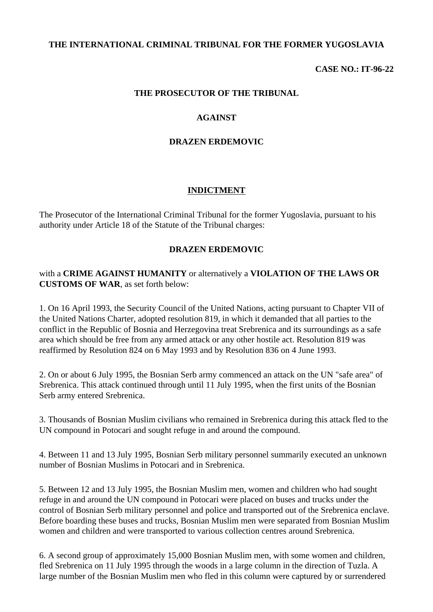### **THE INTERNATIONAL CRIMINAL TRIBUNAL FOR THE FORMER YUGOSLAVIA**

#### **CASE NO.: IT-96-22**

#### **THE PROSECUTOR OF THE TRIBUNAL**

#### **AGAINST**

#### **DRAZEN ERDEMOVIC**

### **INDICTMENT**

The Prosecutor of the International Criminal Tribunal for the former Yugoslavia, pursuant to his authority under Article 18 of the Statute of the Tribunal charges:

#### **DRAZEN ERDEMOVIC**

### with a **CRIME AGAINST HUMANITY** or alternatively a **VIOLATION OF THE LAWS OR CUSTOMS OF WAR**, as set forth below:

1. On 16 April 1993, the Security Council of the United Nations, acting pursuant to Chapter VII of the United Nations Charter, adopted resolution 819, in which it demanded that all parties to the conflict in the Republic of Bosnia and Herzegovina treat Srebrenica and its surroundings as a safe area which should be free from any armed attack or any other hostile act. Resolution 819 was reaffirmed by Resolution 824 on 6 May 1993 and by Resolution 836 on 4 June 1993.

2. On or about 6 July 1995, the Bosnian Serb army commenced an attack on the UN "safe area" of Srebrenica. This attack continued through until 11 July 1995, when the first units of the Bosnian Serb army entered Srebrenica.

3. Thousands of Bosnian Muslim civilians who remained in Srebrenica during this attack fled to the UN compound in Potocari and sought refuge in and around the compound.

4. Between 11 and 13 July 1995, Bosnian Serb military personnel summarily executed an unknown number of Bosnian Muslims in Potocari and in Srebrenica.

5. Between 12 and 13 July 1995, the Bosnian Muslim men, women and children who had sought refuge in and around the UN compound in Potocari were placed on buses and trucks under the control of Bosnian Serb military personnel and police and transported out of the Srebrenica enclave. Before boarding these buses and trucks, Bosnian Muslim men were separated from Bosnian Muslim women and children and were transported to various collection centres around Srebrenica.

6. A second group of approximately 15,000 Bosnian Muslim men, with some women and children, fled Srebrenica on 11 July 1995 through the woods in a large column in the direction of Tuzla. A large number of the Bosnian Muslim men who fled in this column were captured by or surrendered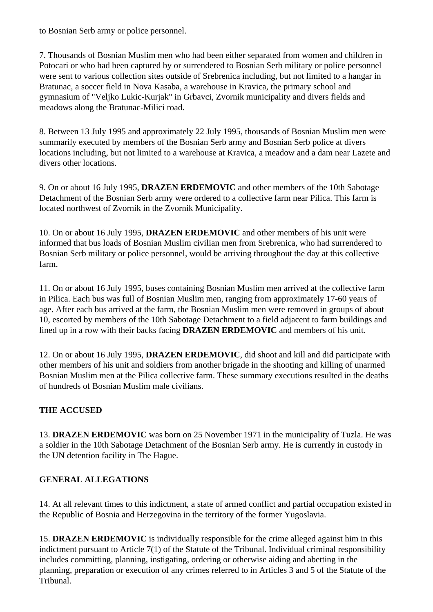to Bosnian Serb army or police personnel.

7. Thousands of Bosnian Muslim men who had been either separated from women and children in Potocari or who had been captured by or surrendered to Bosnian Serb military or police personnel were sent to various collection sites outside of Srebrenica including, but not limited to a hangar in Bratunac, a soccer field in Nova Kasaba, a warehouse in Kravica, the primary school and gymnasium of "Veljko Lukic-Kurjak" in Grbavci, Zvornik municipality and divers fields and meadows along the Bratunac-Milici road.

8. Between 13 July 1995 and approximately 22 July 1995, thousands of Bosnian Muslim men were summarily executed by members of the Bosnian Serb army and Bosnian Serb police at divers locations including, but not limited to a warehouse at Kravica, a meadow and a dam near Lazete and divers other locations.

9. On or about 16 July 1995, **DRAZEN ERDEMOVIC** and other members of the 10th Sabotage Detachment of the Bosnian Serb army were ordered to a collective farm near Pilica. This farm is located northwest of Zvornik in the Zvornik Municipality.

10. On or about 16 July 1995, **DRAZEN ERDEMOVIC** and other members of his unit were informed that bus loads of Bosnian Muslim civilian men from Srebrenica, who had surrendered to Bosnian Serb military or police personnel, would be arriving throughout the day at this collective farm.

11. On or about 16 July 1995, buses containing Bosnian Muslim men arrived at the collective farm in Pilica. Each bus was full of Bosnian Muslim men, ranging from approximately 17-60 years of age. After each bus arrived at the farm, the Bosnian Muslim men were removed in groups of about 10, escorted by members of the 10th Sabotage Detachment to a field adjacent to farm buildings and lined up in a row with their backs facing **DRAZEN ERDEMOVIC** and members of his unit.

12. On or about 16 July 1995, **DRAZEN ERDEMOVIC**, did shoot and kill and did participate with other members of his unit and soldiers from another brigade in the shooting and killing of unarmed Bosnian Muslim men at the Pilica collective farm. These summary executions resulted in the deaths of hundreds of Bosnian Muslim male civilians.

# **THE ACCUSED**

13. **DRAZEN ERDEMOVIC** was born on 25 November 1971 in the municipality of Tuzla. He was a soldier in the 10th Sabotage Detachment of the Bosnian Serb army. He is currently in custody in the UN detention facility in The Hague.

# **GENERAL ALLEGATIONS**

14. At all relevant times to this indictment, a state of armed conflict and partial occupation existed in the Republic of Bosnia and Herzegovina in the territory of the former Yugoslavia.

15. **DRAZEN ERDEMOVIC** is individually responsible for the crime alleged against him in this indictment pursuant to Article 7(1) of the Statute of the Tribunal. Individual criminal responsibility includes committing, planning, instigating, ordering or otherwise aiding and abetting in the planning, preparation or execution of any crimes referred to in Articles 3 and 5 of the Statute of the Tribunal.